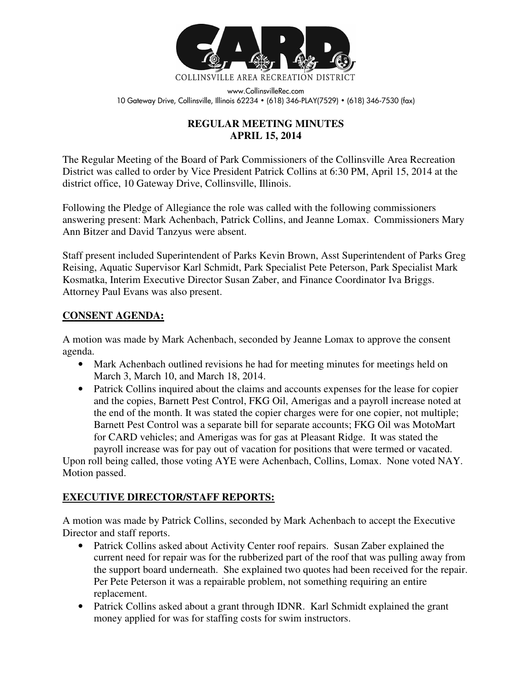

www.CollinsvilleRec.com 10 Gateway Drive, Collinsville, Illinois 62234 • (618) 346-PLAY(7529) • (618) 346-7530 (fax)

# **REGULAR MEETING MINUTES APRIL 15, 2014**

The Regular Meeting of the Board of Park Commissioners of the Collinsville Area Recreation District was called to order by Vice President Patrick Collins at 6:30 PM, April 15, 2014 at the district office, 10 Gateway Drive, Collinsville, Illinois.

Following the Pledge of Allegiance the role was called with the following commissioners answering present: Mark Achenbach, Patrick Collins, and Jeanne Lomax. Commissioners Mary Ann Bitzer and David Tanzyus were absent.

Staff present included Superintendent of Parks Kevin Brown, Asst Superintendent of Parks Greg Reising, Aquatic Supervisor Karl Schmidt, Park Specialist Pete Peterson, Park Specialist Mark Kosmatka, Interim Executive Director Susan Zaber, and Finance Coordinator Iva Briggs. Attorney Paul Evans was also present.

#### **CONSENT AGENDA:**

A motion was made by Mark Achenbach, seconded by Jeanne Lomax to approve the consent agenda.

- Mark Achenbach outlined revisions he had for meeting minutes for meetings held on March 3, March 10, and March 18, 2014.
- Patrick Collins inquired about the claims and accounts expenses for the lease for copier and the copies, Barnett Pest Control, FKG Oil, Amerigas and a payroll increase noted at the end of the month. It was stated the copier charges were for one copier, not multiple; Barnett Pest Control was a separate bill for separate accounts; FKG Oil was MotoMart for CARD vehicles; and Amerigas was for gas at Pleasant Ridge. It was stated the payroll increase was for pay out of vacation for positions that were termed or vacated.

Upon roll being called, those voting AYE were Achenbach, Collins, Lomax. None voted NAY. Motion passed.

# **EXECUTIVE DIRECTOR/STAFF REPORTS:**

A motion was made by Patrick Collins, seconded by Mark Achenbach to accept the Executive Director and staff reports.

- Patrick Collins asked about Activity Center roof repairs. Susan Zaber explained the current need for repair was for the rubberized part of the roof that was pulling away from the support board underneath. She explained two quotes had been received for the repair. Per Pete Peterson it was a repairable problem, not something requiring an entire replacement.
- Patrick Collins asked about a grant through IDNR. Karl Schmidt explained the grant money applied for was for staffing costs for swim instructors.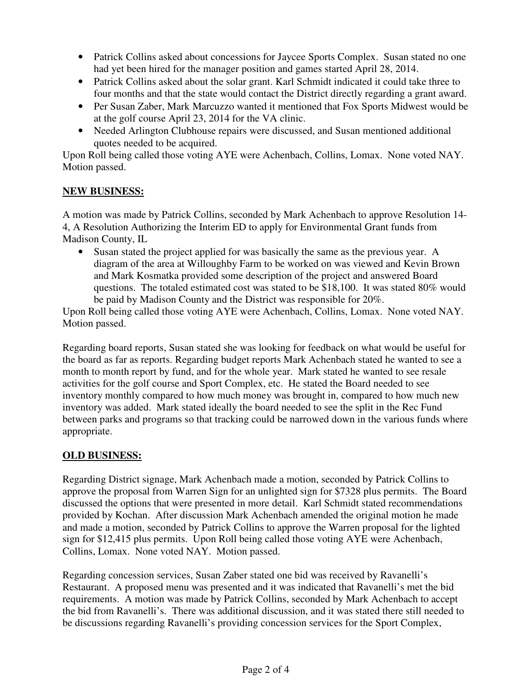- Patrick Collins asked about concessions for Jaycee Sports Complex. Susan stated no one had yet been hired for the manager position and games started April 28, 2014.
- Patrick Collins asked about the solar grant. Karl Schmidt indicated it could take three to four months and that the state would contact the District directly regarding a grant award.
- Per Susan Zaber, Mark Marcuzzo wanted it mentioned that Fox Sports Midwest would be at the golf course April 23, 2014 for the VA clinic.
- Needed Arlington Clubhouse repairs were discussed, and Susan mentioned additional quotes needed to be acquired.

Upon Roll being called those voting AYE were Achenbach, Collins, Lomax. None voted NAY. Motion passed.

#### **NEW BUSINESS:**

A motion was made by Patrick Collins, seconded by Mark Achenbach to approve Resolution 14- 4, A Resolution Authorizing the Interim ED to apply for Environmental Grant funds from Madison County, IL

• Susan stated the project applied for was basically the same as the previous year. A diagram of the area at Willoughby Farm to be worked on was viewed and Kevin Brown and Mark Kosmatka provided some description of the project and answered Board questions. The totaled estimated cost was stated to be \$18,100. It was stated 80% would be paid by Madison County and the District was responsible for 20%.

Upon Roll being called those voting AYE were Achenbach, Collins, Lomax. None voted NAY. Motion passed.

Regarding board reports, Susan stated she was looking for feedback on what would be useful for the board as far as reports. Regarding budget reports Mark Achenbach stated he wanted to see a month to month report by fund, and for the whole year. Mark stated he wanted to see resale activities for the golf course and Sport Complex, etc. He stated the Board needed to see inventory monthly compared to how much money was brought in, compared to how much new inventory was added. Mark stated ideally the board needed to see the split in the Rec Fund between parks and programs so that tracking could be narrowed down in the various funds where appropriate.

# **OLD BUSINESS:**

Regarding District signage, Mark Achenbach made a motion, seconded by Patrick Collins to approve the proposal from Warren Sign for an unlighted sign for \$7328 plus permits. The Board discussed the options that were presented in more detail. Karl Schmidt stated recommendations provided by Kochan. After discussion Mark Achenbach amended the original motion he made and made a motion, seconded by Patrick Collins to approve the Warren proposal for the lighted sign for \$12,415 plus permits. Upon Roll being called those voting AYE were Achenbach, Collins, Lomax. None voted NAY. Motion passed.

Regarding concession services, Susan Zaber stated one bid was received by Ravanelli's Restaurant. A proposed menu was presented and it was indicated that Ravanelli's met the bid requirements. A motion was made by Patrick Collins, seconded by Mark Achenbach to accept the bid from Ravanelli's. There was additional discussion, and it was stated there still needed to be discussions regarding Ravanelli's providing concession services for the Sport Complex,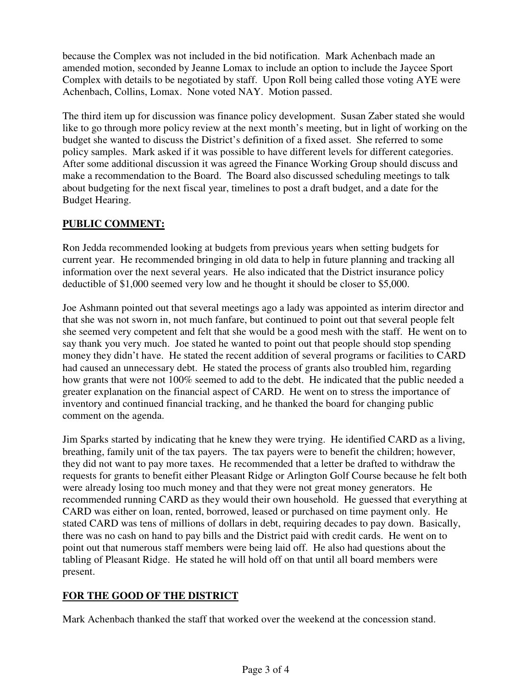because the Complex was not included in the bid notification. Mark Achenbach made an amended motion, seconded by Jeanne Lomax to include an option to include the Jaycee Sport Complex with details to be negotiated by staff. Upon Roll being called those voting AYE were Achenbach, Collins, Lomax. None voted NAY. Motion passed.

The third item up for discussion was finance policy development. Susan Zaber stated she would like to go through more policy review at the next month's meeting, but in light of working on the budget she wanted to discuss the District's definition of a fixed asset. She referred to some policy samples. Mark asked if it was possible to have different levels for different categories. After some additional discussion it was agreed the Finance Working Group should discuss and make a recommendation to the Board. The Board also discussed scheduling meetings to talk about budgeting for the next fiscal year, timelines to post a draft budget, and a date for the Budget Hearing.

# **PUBLIC COMMENT:**

Ron Jedda recommended looking at budgets from previous years when setting budgets for current year. He recommended bringing in old data to help in future planning and tracking all information over the next several years. He also indicated that the District insurance policy deductible of \$1,000 seemed very low and he thought it should be closer to \$5,000.

Joe Ashmann pointed out that several meetings ago a lady was appointed as interim director and that she was not sworn in, not much fanfare, but continued to point out that several people felt she seemed very competent and felt that she would be a good mesh with the staff. He went on to say thank you very much. Joe stated he wanted to point out that people should stop spending money they didn't have. He stated the recent addition of several programs or facilities to CARD had caused an unnecessary debt. He stated the process of grants also troubled him, regarding how grants that were not 100% seemed to add to the debt. He indicated that the public needed a greater explanation on the financial aspect of CARD. He went on to stress the importance of inventory and continued financial tracking, and he thanked the board for changing public comment on the agenda.

Jim Sparks started by indicating that he knew they were trying. He identified CARD as a living, breathing, family unit of the tax payers. The tax payers were to benefit the children; however, they did not want to pay more taxes. He recommended that a letter be drafted to withdraw the requests for grants to benefit either Pleasant Ridge or Arlington Golf Course because he felt both were already losing too much money and that they were not great money generators. He recommended running CARD as they would their own household. He guessed that everything at CARD was either on loan, rented, borrowed, leased or purchased on time payment only. He stated CARD was tens of millions of dollars in debt, requiring decades to pay down. Basically, there was no cash on hand to pay bills and the District paid with credit cards. He went on to point out that numerous staff members were being laid off. He also had questions about the tabling of Pleasant Ridge. He stated he will hold off on that until all board members were present.

# **FOR THE GOOD OF THE DISTRICT**

Mark Achenbach thanked the staff that worked over the weekend at the concession stand.